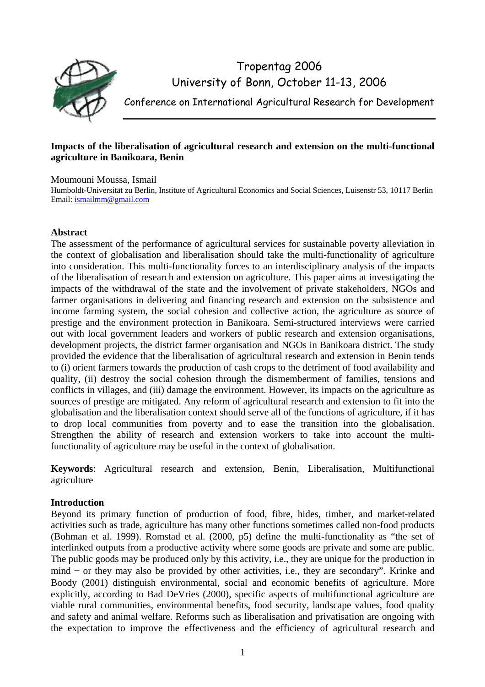

# Tropentag 2006 University of Bonn, October 11-13, 2006

Conference on International Agricultural Research for Development

## **Impacts of the liberalisation of agricultural research and extension on the multi-functional agriculture in Banikoara, Benin**

Moumouni Moussa, Ismail

Humboldt-Universität zu Berlin, Institute of Agricultural Economics and Social Sciences, Luisenstr 53, 10117 Berlin Email: ismailmm@gmail.com

## **Abstract**

The assessment of the performance of agricultural services for sustainable poverty alleviation in the context of globalisation and liberalisation should take the multi-functionality of agriculture into consideration. This multi-functionality forces to an interdisciplinary analysis of the impacts of the liberalisation of research and extension on agriculture. This paper aims at investigating the impacts of the withdrawal of the state and the involvement of private stakeholders, NGOs and farmer organisations in delivering and financing research and extension on the subsistence and income farming system, the social cohesion and collective action, the agriculture as source of prestige and the environment protection in Banikoara. Semi-structured interviews were carried out with local government leaders and workers of public research and extension organisations, development projects, the district farmer organisation and NGOs in Banikoara district. The study provided the evidence that the liberalisation of agricultural research and extension in Benin tends to (i) orient farmers towards the production of cash crops to the detriment of food availability and quality, (ii) destroy the social cohesion through the dismemberment of families, tensions and conflicts in villages, and (iii) damage the environment. However, its impacts on the agriculture as sources of prestige are mitigated. Any reform of agricultural research and extension to fit into the globalisation and the liberalisation context should serve all of the functions of agriculture, if it has to drop local communities from poverty and to ease the transition into the globalisation. Strengthen the ability of research and extension workers to take into account the multifunctionality of agriculture may be useful in the context of globalisation.

**eywords**: Agricultural research and extension, Benin, Liberalisation, Multifunctional **K** agriculture

# **ntroduction I**

Beyond its primary function of production of food, fibre, hides, timber, and market-related the expectation to improve the effectiveness and the efficiency of agricultural research and activities such as trade, agriculture has many other functions sometimes called non-food products (Bohman et al. 1999). Romstad et al. (2000, p5) define the multi-functionality as "the set of interlinked outputs from a productive activity where some goods are private and some are public. The public goods may be produced only by this activity, i.e., they are unique for the production in mind − or they may also be provided by other activities, i.e., they are secondary". Krinke and Boody (2001) distinguish environmental, social and economic benefits of agriculture. More explicitly, according to Bad DeVries (2000), specific aspects of multifunctional agriculture are viable rural communities, environmental benefits, food security, landscape values, food quality and safety and animal welfare. Reforms such as liberalisation and privatisation are ongoing with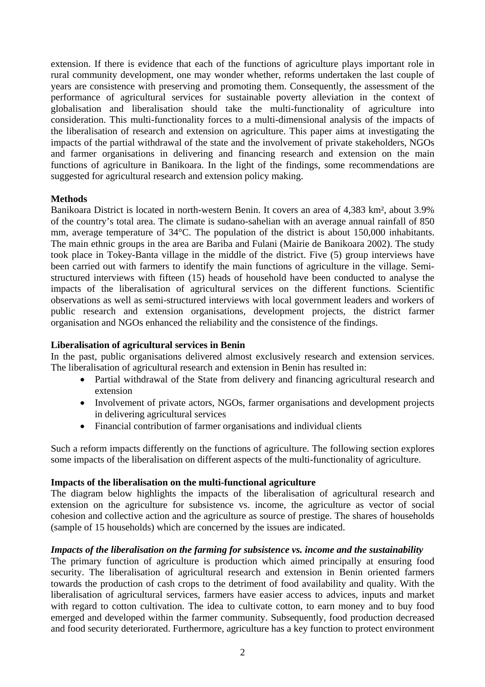extension. If there is evidence that each of the functions of agriculture plays important role in rural community development, one may wonder whether, reforms undertaken the last couple of years are consistence with preserving and promoting them. Consequently, the assessment of the performance of agricultural services for sustainable poverty alleviation in the context of globalisation and liberalisation should take the multi-functionality of agriculture into consideration. This multi-functionality forces to a multi-dimensional analysis of the impacts of the liberalisation of research and extension on agriculture. This paper aims at investigating the impacts of the partial withdrawal of the state and the involvement of private stakeholders, NGOs and farmer organisations in delivering and financing research and extension on the main functions of agriculture in Banikoara. In the light of the findings, some recommendations are suggested for agricultural research and extension policy making.

## **Methods**

Banikoara District is located in north-western Benin. It covers an area of 4,383 km², about 3.9% of the country's total area. The climate is sudano-sahelian with an average annual rainfall of 850 mm, average temperature of 34°C. The population of the district is about 150,000 inhabitants. The main ethnic groups in the area are Bariba and Fulani (Mairie de Banikoara 2002). The study took place in Tokey-Banta village in the middle of the district. Five (5) group interviews have been carried out with farmers to identify the main functions of agriculture in the village. Semistructured interviews with fifteen (15) heads of household have been conducted to analyse the impacts of the liberalisation of agricultural services on the different functions. Scientific observations as well as semi-structured interviews with local government leaders and workers of public research and extension organisations, development projects, the district farmer organisation and NGOs enhanced the reliability and the consistence of the findings.

## **Liberalisation of agricultural services in Benin**

In the past, public organisations delivered almost exclusively research and extension services. The liberalisation of agricultural research and extension in Benin has resulted in:

- Partial withdrawal of the State from delivery and financing agricultural research and extension
- in delivering agricultural services • Involvement of private actors, NGOs, farmer organisations and development projects
- Financial contribution of farmer organisations and individual clients

Such a reform impacts differently on the functions of agriculture. The following section explores some impacts of the liberalisation on different aspects of the multi-functionality of agriculture.

## **Impacts of the liberalisation on the multi-functional agriculture**

The diagram below highlights the impacts of the liberalisation of agricultural research and extension on the agriculture for subsistence vs. income, the agriculture as vector of social cohesion and collective action and the agriculture as source of prestige. The shares of households (sample of 15 households) which are concerned by the issues are indicated.

## *Impacts of the liberalisation on the farming for subsistence vs. income and the sustainability*

The primary function of agriculture is production which aimed principally at ensuring food security. The liberalisation of agricultural research and extension in Benin oriented farmers towards the production of cash crops to the detriment of food availability and quality. With the liberalisation of agricultural services, farmers have easier access to advices, inputs and market with regard to cotton cultivation. The idea to cultivate cotton, to earn money and to buy food emerged and developed within the farmer community. Subsequently, food production decreased and food security deteriorated. Furthermore, agriculture has a key function to protect environment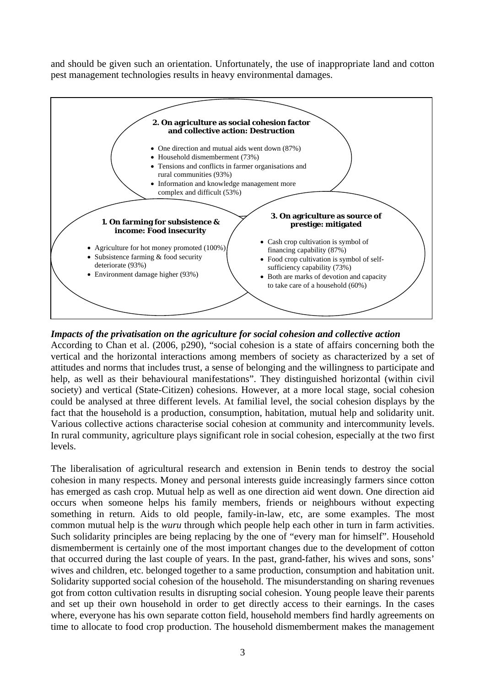and should be given such an orientation. Unfortunately, the use of inappropriate land and cotton pest management technologies results in heavy environmental damages.



## *Impacts of the privatisation on the agriculture for social cohesion and collective action*

According to Chan et al. (2006, p290), "social cohesion is a state of affairs concerning both the vertical and the horizontal interactions among members of society as characterized by a set of attitudes and norms that includes trust, a sense of belonging and the willingness to participate and help, as well as their behavioural manifestations". They distinguished horizontal (within civil society) and vertical (State-Citizen) cohesions. However, at a more local stage, social cohesion could be analysed at three different levels. At familial level, the social cohesion displays by the fact that the household is a production, consumption, habitation, mutual help and solidarity unit. Various collective actions characterise social cohesion at community and intercommunity levels. In rural community, agriculture plays significant role in social cohesion, especially at the two first levels.

The liberalisation of agricultural research and extension in Benin tends to destroy the social cohesion in many respects. Money and personal interests guide increasingly farmers since cotton has emerged as cash crop. Mutual help as well as one direction aid went down. One direction aid occurs when someone helps his family members, friends or neighbours without expecting something in return. Aids to old people, family-in-law, etc, are some examples. The most common mutual help is the *wuru* through which people help each other in turn in farm activities. Such solidarity principles are being replacing by the one of "every man for himself". Household dismemberment is certainly one of the most important changes due to the development of cotton that occurred during the last couple of years. In the past, grand-father, his wives and sons, sons' wives and children, etc. belonged together to a same production, consumption and habitation unit. Solidarity supported social cohesion of the household. The misunderstanding on sharing revenues got from cotton cultivation results in disrupting social cohesion. Young people leave their parents and set up their own household in order to get directly access to their earnings. In the cases where, everyone has his own separate cotton field, household members find hardly agreements on time to allocate to food crop production. The household dismemberment makes the management